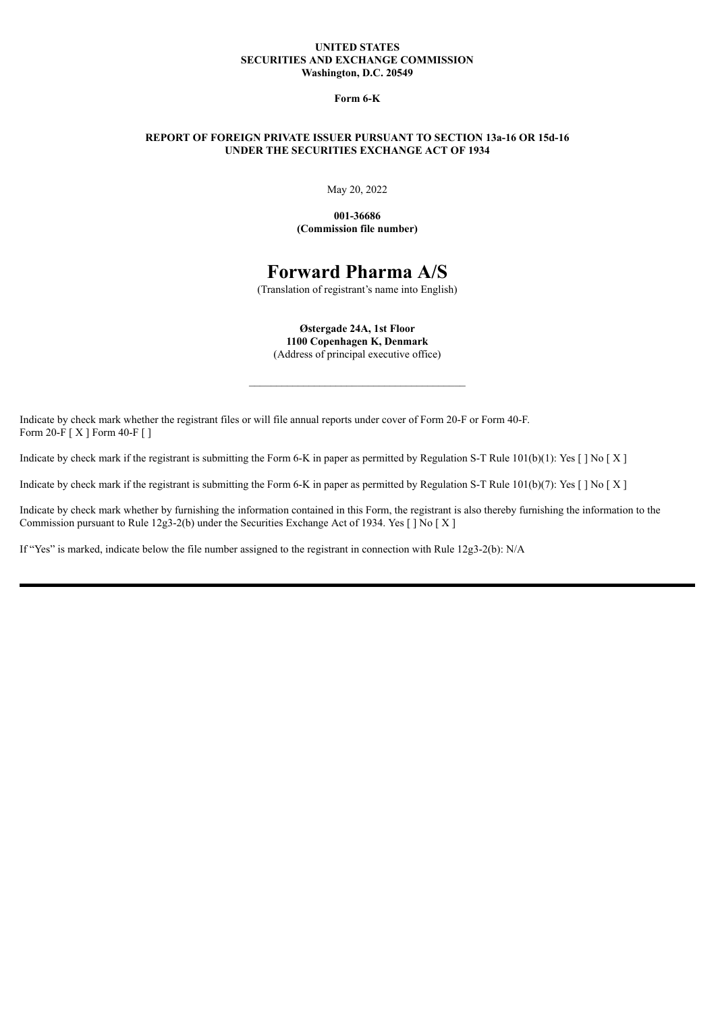### **UNITED STATES SECURITIES AND EXCHANGE COMMISSION Washington, D.C. 20549**

**Form 6-K**

### **REPORT OF FOREIGN PRIVATE ISSUER PURSUANT TO SECTION 13a-16 OR 15d-16 UNDER THE SECURITIES EXCHANGE ACT OF 1934**

May 20, 2022

**001-36686 (Commission file number)**

# **Forward Pharma A/S**

(Translation of registrant's name into English)

**Østergade 24A, 1st Floor 1100 Copenhagen K, Denmark**

(Address of principal executive office)

\_\_\_\_\_\_\_\_\_\_\_\_\_\_\_\_\_\_\_\_\_\_\_\_\_\_\_\_\_\_\_\_\_\_\_\_\_\_\_\_

Indicate by check mark whether the registrant files or will file annual reports under cover of Form 20-F or Form 40-F. Form 20-F [ X ] Form 40-F [ ]

Indicate by check mark if the registrant is submitting the Form 6-K in paper as permitted by Regulation S-T Rule  $101(b)(1)$ : Yes  $\lceil \log \lceil X \rceil$ 

Indicate by check mark if the registrant is submitting the Form 6-K in paper as permitted by Regulation S-T Rule  $101(b)(7)$ : Yes  $\lceil \cdot \rceil$  No  $\lceil X \rceil$ 

Indicate by check mark whether by furnishing the information contained in this Form, the registrant is also thereby furnishing the information to the Commission pursuant to Rule 12g3-2(b) under the Securities Exchange Act of 1934. Yes [ ] No [ X ]

If "Yes" is marked, indicate below the file number assigned to the registrant in connection with Rule 12g3-2(b): N/A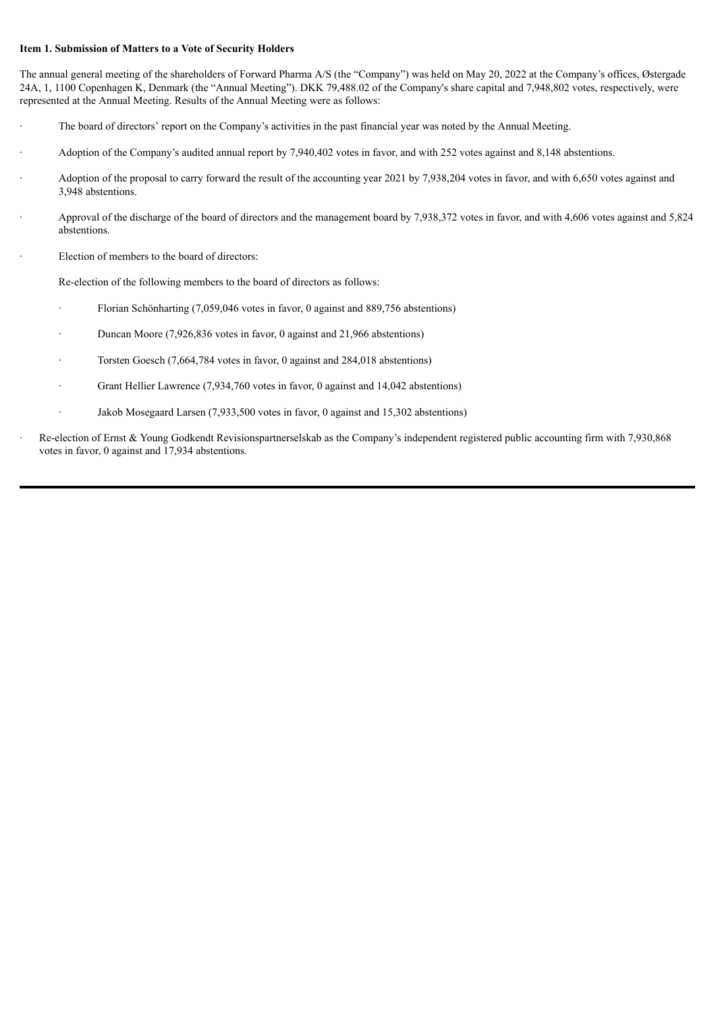### **Item 1. Submission of Matters to a Vote of Security Holders**

The annual general meeting of the shareholders of Forward Pharma A/S (the "Company") was held on May 20, 2022 at the Company's offices, Østergade 24A, 1, 1100 Copenhagen K, Denmark (the "Annual Meeting"). DKK 79,488.02 of the Company's share capital and 7,948,802 votes, respectively, were represented at the Annual Meeting. Results of the Annual Meeting were as follows:

- The board of directors' report on the Company's activities in the past financial year was noted by the Annual Meeting.
- · Adoption of the Company's audited annual report by 7,940,402 votes in favor, and with 252 votes against and 8,148 abstentions.
- · Adoption of the proposal to carry forward the result of the accounting year 2021 by 7,938,204 votes in favor, and with 6,650 votes against and 3,948 abstentions.
- · Approval of the discharge of the board of directors and the management board by 7,938,372 votes in favor, and with 4,606 votes against and 5,824 abstentions.
- Election of members to the board of directors:

Re-election of the following members to the board of directors as follows:

- Florian Schönharting (7,059,046 votes in favor, 0 against and 889,756 abstentions)
- Duncan Moore (7,926,836 votes in favor, 0 against and 21,966 abstentions)
- Torsten Goesch (7,664,784 votes in favor, 0 against and 284,018 abstentions)
- Grant Hellier Lawrence (7,934,760 votes in favor, 0 against and 14,042 abstentions)
- · Jakob Mosegaard Larsen (7,933,500 votes in favor, 0 against and 15,302 abstentions)
- · Re-election of Ernst & Young Godkendt Revisionspartnerselskab as the Company's independent registered public accounting firm with 7,930,868 votes in favor, 0 against and 17,934 abstentions.